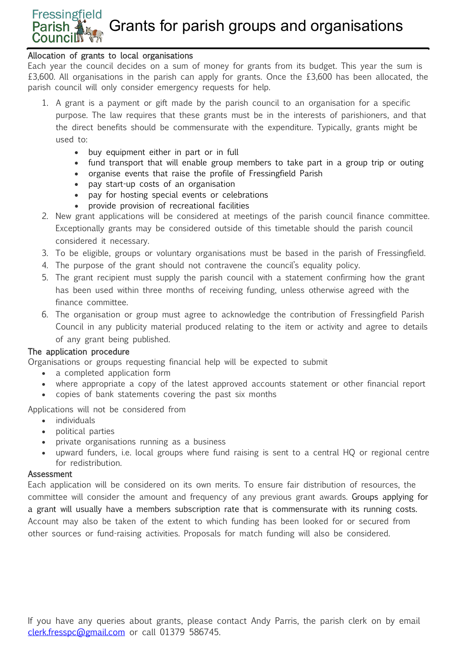# **Fressingfield** Grants for parish groups and organisations **Councilly**

### Allocation of grants to local organisations

Each year the council decides on a sum of money for grants from its budget. This year the sum is £3,600. All organisations in the parish can apply for grants. Once the £3,600 has been allocated, the parish council will only consider emergency requests for help.

- 1. A grant is a payment or gift made by the parish council to an organisation for a specific purpose. The law requires that these grants must be in the interests of parishioners, and that the direct benefits should be commensurate with the expenditure. Typically, grants might be used to:
	- buy equipment either in part or in full
	- fund transport that will enable group members to take part in a group trip or outing
	- organise events that raise the profile of Fressingfield Parish
	- pay start-up costs of an organisation
	- pay for hosting special events or celebrations
	- provide provision of recreational facilities
- 2. New grant applications will be considered at meetings of the parish council finance committee. Exceptionally grants may be considered outside of this timetable should the parish council considered it necessary.
- 3. To be eligible, groups or voluntary organisations must be based in the parish of Fressingfield.
- 4. The purpose of the grant should not contravene the council's equality policy.
- 5. The grant recipient must supply the parish council with a statement confirming how the grant has been used within three months of receiving funding, unless otherwise agreed with the finance committee.
- 6. The organisation or group must agree to acknowledge the contribution of Fressingfield Parish Council in any publicity material produced relating to the item or activity and agree to details of any grant being published.

### The application procedure

Organisations or groups requesting financial help will be expected to submit

- a completed application form
- where appropriate a copy of the latest approved accounts statement or other financial report
- copies of bank statements covering the past six months

Applications will not be considered from

- individuals
- political parties
- private organisations running as a business
- upward funders, i.e. local groups where fund raising is sent to a central HQ or regional centre for redistribution.

### **Assessment**

Each application will be considered on its own merits. To ensure fair distribution of resources, the committee will consider the amount and frequency of any previous grant awards. Groups applying for a grant will usually have a members subscription rate that is commensurate with its running costs. Account may also be taken of the extent to which funding has been looked for or secured from other sources or fund-raising activities. Proposals for match funding will also be considered.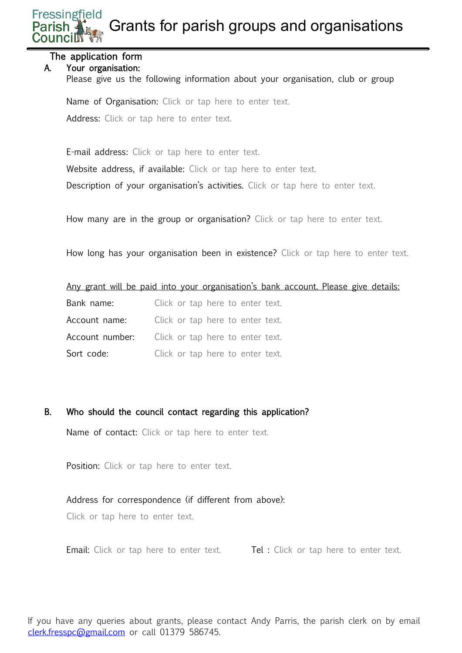**Fressingfield** Grants for parish groups and organisations

### The application form

### A. Your organisation:

Please give us the following information about your organisation, club or group

Name of Organisation: Click or tap here to enter text. Address: Click or tap here to enter text.

E-mail address: Click or tap here to enter text.

Website address, if available: Click or tap here to enter text.

Description of your organisation's activities. Click or tap here to enter text.

How many are in the group or organisation? Click or tap here to enter text.

How long has your organisation been in existence? Click or tap here to enter text.

|  |  |  |  | Any grant will be paid into your organisation's bank account. Please give details: |  |  |  |
|--|--|--|--|------------------------------------------------------------------------------------|--|--|--|
|  |  |  |  |                                                                                    |  |  |  |

- Bank name: Click or tap here to enter text.
- Account name: Click or tap here to enter text.
- Account number: Click or tap here to enter text.

Sort code:<br>
Click or tap here to enter text.

B. Who should the council contact regarding this application?

Name of contact: Click or tap here to enter text.

Position: Click or tap here to enter text.

### Address for correspondence (if different from above):

Click or tap here to enter text.

Email: Click or tap here to enter text. Tel : Click or tap here to enter text.

If you have any queries about grants, please contact Andy Parris, the parish clerk on by email [clerk.fresspc@gmail.com](mailto:clerk.fresspc@gmail.com) or call 01379 586745.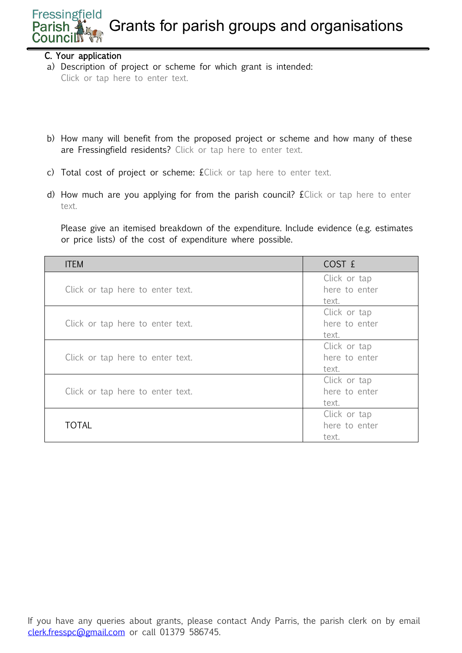#### **Fressingfield** Grants for parish groups and organisations Parish **Councilly**

### C. Your application

a) Description of project or scheme for which grant is intended: Click or tap here to enter text.

- b) How many will benefit from the proposed project or scheme and how many of these are Fressingfield residents? Click or tap here to enter text.
- c) Total cost of project or scheme: £Click or tap here to enter text.
- d) How much are you applying for from the parish council? £Click or tap here to enter text.

Please give an itemised breakdown of the expenditure. Include evidence (e.g. estimates or price lists) of the cost of expenditure where possible.

| <b>ITEM</b>                      | COST E        |
|----------------------------------|---------------|
|                                  | Click or tap  |
| Click or tap here to enter text. | here to enter |
|                                  | text.         |
|                                  | Click or tap  |
| Click or tap here to enter text. | here to enter |
|                                  | text.         |
|                                  | Click or tap  |
| Click or tap here to enter text. | here to enter |
|                                  | text.         |
|                                  | Click or tap  |
| Click or tap here to enter text. | here to enter |
|                                  | text.         |
|                                  | Click or tap  |
| <b>TOTAL</b>                     | here to enter |
|                                  | text.         |

If you have any queries about grants, please contact Andy Parris, the parish clerk on by email [clerk.fresspc@gmail.com](mailto:clerk.fresspc@gmail.com) or call 01379 586745.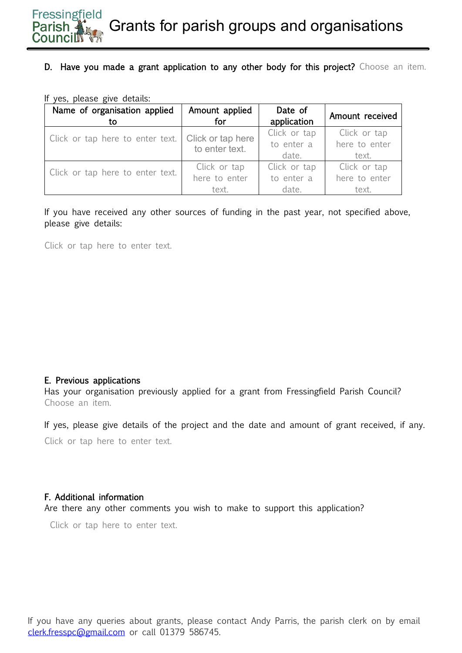# D. Have you made a grant application to any other body for this project? Choose an item.

|  | If yes, please give details: |
|--|------------------------------|
|--|------------------------------|

| Name of organisation applied<br>to | Amount applied<br>for | Date of<br>application | Amount received |
|------------------------------------|-----------------------|------------------------|-----------------|
| Click or tap here to enter text.   | Click or tap here     | Click or tap           | Click or tap    |
|                                    | to enter text.        | to enter a             | here to enter   |
|                                    |                       | date.                  | text.           |
| Click or tap here to enter text.   | Click or tap          | Click or tap           | Click or tap    |
|                                    | here to enter         | to enter a             | here to enter   |
|                                    | text.                 | date.                  | text.           |

If you have received any other sources of funding in the past year, not specified above, please give details:

Click or tap here to enter text.

### E. Previous applications

Has your organisation previously applied for a grant from Fressingfield Parish Council? Choose an item.

If yes, please give details of the project and the date and amount of grant received, if any. Click or tap here to enter text.

### F. Additional information

Are there any other comments you wish to make to support this application?

Click or tap here to enter text.

If you have any queries about grants, please contact Andy Parris, the parish clerk on by email [clerk.fresspc@gmail.com](mailto:clerk.fresspc@gmail.com) or call 01379 586745.